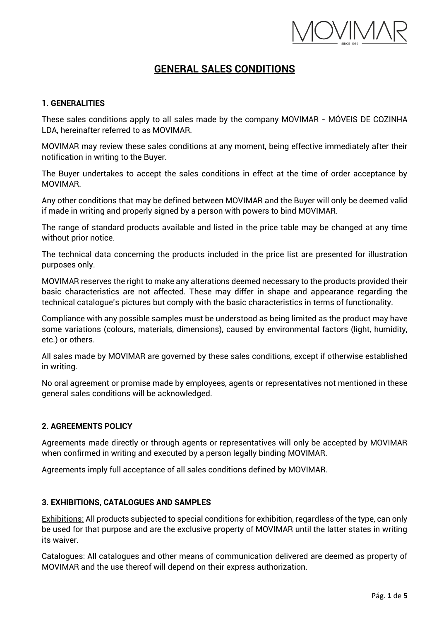

# **GENERAL SALES CONDITIONS**

# **1. GENERALITIES**

These sales conditions apply to all sales made by the company MOVIMAR - MÓVEIS DE COZINHA LDA, hereinafter referred to as MOVIMAR.

MOVIMAR may review these sales conditions at any moment, being effective immediately after their notification in writing to the Buyer.

The Buyer undertakes to accept the sales conditions in effect at the time of order acceptance by MOVIMAR.

Any other conditions that may be defined between MOVIMAR and the Buyer will only be deemed valid if made in writing and properly signed by a person with powers to bind MOVIMAR.

The range of standard products available and listed in the price table may be changed at any time without prior notice.

The technical data concerning the products included in the price list are presented for illustration purposes only.

MOVIMAR reserves the right to make any alterations deemed necessary to the products provided their basic characteristics are not affected. These may differ in shape and appearance regarding the technical catalogue's pictures but comply with the basic characteristics in terms of functionality.

Compliance with any possible samples must be understood as being limited as the product may have some variations (colours, materials, dimensions), caused by environmental factors (light, humidity, etc.) or others.

All sales made by MOVIMAR are governed by these sales conditions, except if otherwise established in writing.

No oral agreement or promise made by employees, agents or representatives not mentioned in these general sales conditions will be acknowledged.

# **2. AGREEMENTS POLICY**

Agreements made directly or through agents or representatives will only be accepted by MOVIMAR when confirmed in writing and executed by a person legally binding MOVIMAR.

Agreements imply full acceptance of all sales conditions defined by MOVIMAR.

# **3. EXHIBITIONS, CATALOGUES AND SAMPLES**

Exhibitions: All products subjected to special conditions for exhibition, regardless of the type, can only be used for that purpose and are the exclusive property of MOVIMAR until the latter states in writing its waiver.

Catalogues: All catalogues and other means of communication delivered are deemed as property of MOVIMAR and the use thereof will depend on their express authorization.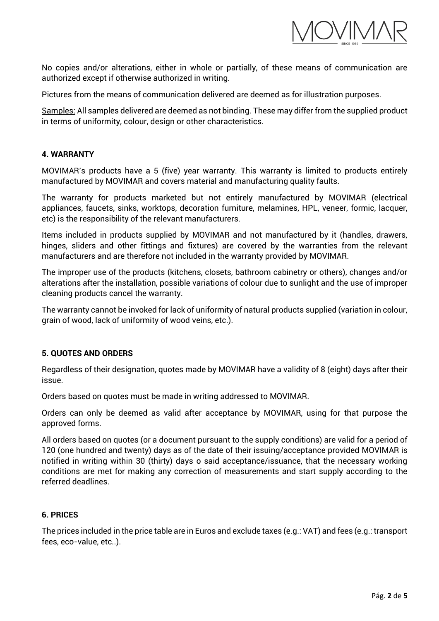

No copies and/or alterations, either in whole or partially, of these means of communication are authorized except if otherwise authorized in writing.

Pictures from the means of communication delivered are deemed as for illustration purposes.

Samples: All samples delivered are deemed as not binding. These may differ from the supplied product in terms of uniformity, colour, design or other characteristics.

#### **4. WARRANTY**

MOVIMAR's products have a 5 (five) year warranty. This warranty is limited to products entirely manufactured by MOVIMAR and covers material and manufacturing quality faults.

The warranty for products marketed but not entirely manufactured by MOVIMAR (electrical appliances, faucets, sinks, worktops, decoration furniture, melamines, HPL, veneer, formic, lacquer, etc) is the responsibility of the relevant manufacturers.

Items included in products supplied by MOVIMAR and not manufactured by it (handles, drawers, hinges, sliders and other fittings and fixtures) are covered by the warranties from the relevant manufacturers and are therefore not included in the warranty provided by MOVIMAR.

The improper use of the products (kitchens, closets, bathroom cabinetry or others), changes and/or alterations after the installation, possible variations of colour due to sunlight and the use of improper cleaning products cancel the warranty.

The warranty cannot be invoked for lack of uniformity of natural products supplied (variation in colour, grain of wood, lack of uniformity of wood veins, etc.).

## **5. QUOTES AND ORDERS**

Regardless of their designation, quotes made by MOVIMAR have a validity of 8 (eight) days after their issue.

Orders based on quotes must be made in writing addressed to MOVIMAR.

Orders can only be deemed as valid after acceptance by MOVIMAR, using for that purpose the approved forms.

All orders based on quotes (or a document pursuant to the supply conditions) are valid for a period of 120 (one hundred and twenty) days as of the date of their issuing/acceptance provided MOVIMAR is notified in writing within 30 (thirty) days o said acceptance/issuance, that the necessary working conditions are met for making any correction of measurements and start supply according to the referred deadlines.

## **6. PRICES**

The prices included in the price table are in Euros and exclude taxes (e.g.: VAT) and fees (e.g.: transport fees, eco-value, etc..).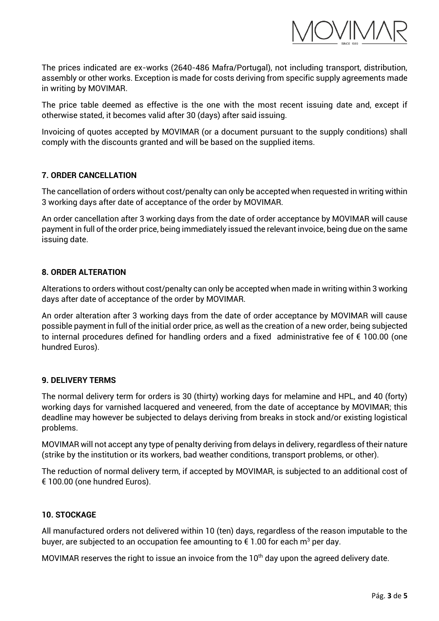

The prices indicated are ex-works (2640-486 Mafra/Portugal), not including transport, distribution, assembly or other works. Exception is made for costs deriving from specific supply agreements made in writing by MOVIMAR.

The price table deemed as effective is the one with the most recent issuing date and, except if otherwise stated, it becomes valid after 30 (days) after said issuing.

Invoicing of quotes accepted by MOVIMAR (or a document pursuant to the supply conditions) shall comply with the discounts granted and will be based on the supplied items.

# **7. ORDER CANCELLATION**

The cancellation of orders without cost/penalty can only be accepted when requested in writing within 3 working days after date of acceptance of the order by MOVIMAR.

An order cancellation after 3 working days from the date of order acceptance by MOVIMAR will cause payment in full of the order price, being immediately issued the relevant invoice, being due on the same issuing date.

## **8. ORDER ALTERATION**

Alterations to orders without cost/penalty can only be accepted when made in writing within 3 working days after date of acceptance of the order by MOVIMAR.

An order alteration after 3 working days from the date of order acceptance by MOVIMAR will cause possible payment in full of the initial order price, as well as the creation of a new order, being subjected to internal procedures defined for handling orders and a fixed administrative fee of € 100.00 (one hundred Euros).

# **9. DELIVERY TERMS**

The normal delivery term for orders is 30 (thirty) working days for melamine and HPL, and 40 (forty) working days for varnished lacquered and veneered, from the date of acceptance by MOVIMAR; this deadline may however be subjected to delays deriving from breaks in stock and/or existing logistical problems.

MOVIMAR will not accept any type of penalty deriving from delays in delivery, regardless of their nature (strike by the institution or its workers, bad weather conditions, transport problems, or other).

The reduction of normal delivery term, if accepted by MOVIMAR, is subjected to an additional cost of € 100.00 (one hundred Euros).

# **10. STOCKAGE**

All manufactured orders not delivered within 10 (ten) days, regardless of the reason imputable to the buyer, are subjected to an occupation fee amounting to  $\epsilon$  1.00 for each m<sup>3</sup> per day.

MOVIMAR reserves the right to issue an invoice from the  $10<sup>th</sup>$  day upon the agreed delivery date.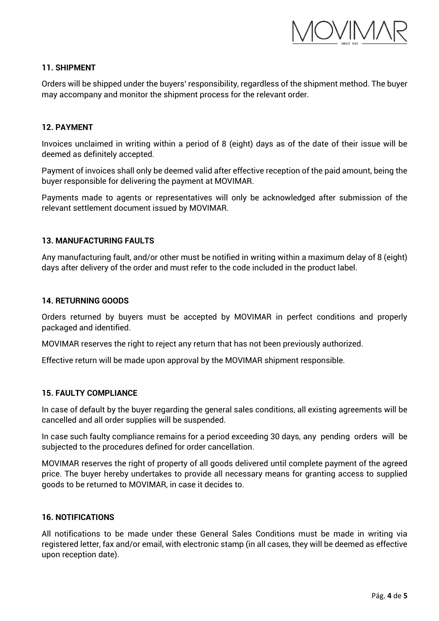

# **11. SHIPMENT**

Orders will be shipped under the buyers' responsibility, regardless of the shipment method. The buyer may accompany and monitor the shipment process for the relevant order.

## **12. PAYMENT**

Invoices unclaimed in writing within a period of 8 (eight) days as of the date of their issue will be deemed as definitely accepted.

Payment of invoices shall only be deemed valid after effective reception of the paid amount, being the buyer responsible for delivering the payment at MOVIMAR.

Payments made to agents or representatives will only be acknowledged after submission of the relevant settlement document issued by MOVIMAR.

#### **13. MANUFACTURING FAULTS**

Any manufacturing fault, and/or other must be notified in writing within a maximum delay of 8 (eight) days after delivery of the order and must refer to the code included in the product label.

#### **14. RETURNING GOODS**

Orders returned by buyers must be accepted by MOVIMAR in perfect conditions and properly packaged and identified.

MOVIMAR reserves the right to reject any return that has not been previously authorized.

Effective return will be made upon approval by the MOVIMAR shipment responsible.

## **15. FAULTY COMPLIANCE**

In case of default by the buyer regarding the general sales conditions, all existing agreements will be cancelled and all order supplies will be suspended.

In case such faulty compliance remains for a period exceeding 30 days, any pending orders will be subjected to the procedures defined for order cancellation.

MOVIMAR reserves the right of property of all goods delivered until complete payment of the agreed price. The buyer hereby undertakes to provide all necessary means for granting access to supplied goods to be returned to MOVIMAR, in case it decides to.

#### **16. NOTIFICATIONS**

All notifications to be made under these General Sales Conditions must be made in writing via registered letter, fax and/or email, with electronic stamp (in all cases, they will be deemed as effective upon reception date).